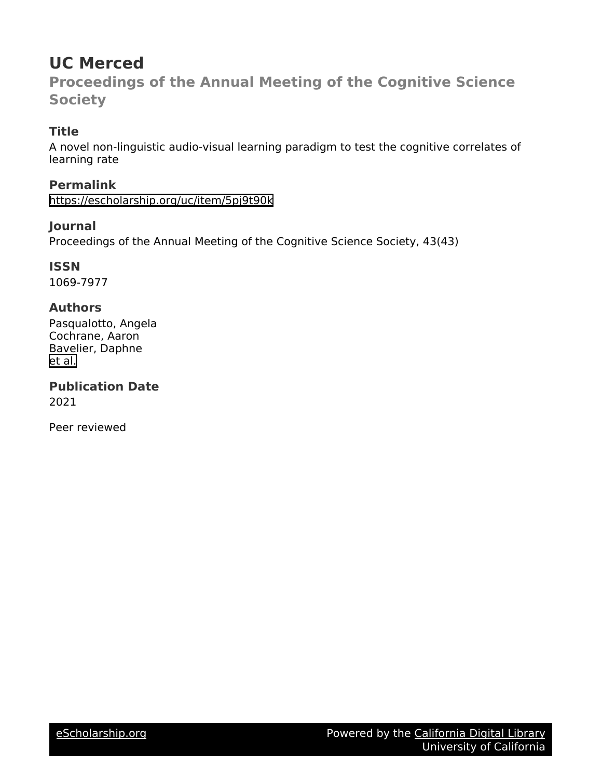# **UC Merced**

**Proceedings of the Annual Meeting of the Cognitive Science Society**

# **Title**

A novel non-linguistic audio-visual learning paradigm to test the cognitive correlates of learning rate

**Permalink** <https://escholarship.org/uc/item/5pj9t90k>

# **Journal**

Proceedings of the Annual Meeting of the Cognitive Science Society, 43(43)

**ISSN**

1069-7977

# **Authors**

Pasqualotto, Angela Cochrane, Aaron Bavelier, Daphne [et al.](https://escholarship.org/uc/item/5pj9t90k#author)

**Publication Date** 2021

Peer reviewed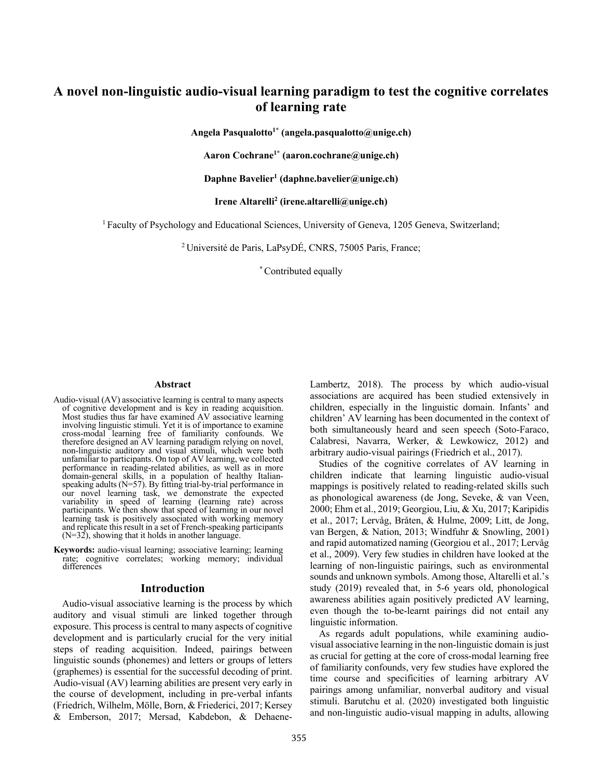# **A novel non-linguistic audio-visual learning paradigm to test the cognitive correlates of learning rate**

**Angela Pasqualotto1\* (angela.pasqualotto@unige.ch)**

**Aaron Cochrane1\* (aaron.cochrane@unige.ch)**

**Daphne Bavelier1 (daphne.bavelier@unige.ch)**

**Irene Altarelli2 (irene.altarelli@unige.ch)**

1 Faculty of Psychology and Educational Sciences, University of Geneva, 1205 Geneva, Switzerland;

2 Université de Paris, LaPsyDÉ, CNRS, 75005 Paris, France;

**\*** Contributed equally

#### **Abstract**

- Audio-visual (AV) associative learning is central to many aspects of cognitive development and is key in reading acquisition. Most studies thus far have examined AV associative learning involving linguistic stimuli. Yet it is of importance to examine cross-modal learning free of familiarity confounds. We therefore designed an AV learning paradigm relying on novel, non-linguistic auditory and visual stimuli, which were both unfamiliar to participants. On top of AV learning, we collected enformance in reading-related abilities, as well as in more domain-general skills, in a population of healthy Italiandomain-general skills, in a population of healthy Italian- speaking adults (N=57). By fitting trial-by-trial performance in our novel learning task, we demonstrate the expected variability in speed of learning (learning rate) across participants. We then show that speed of learning in our novel learning task is positively associated with working memory and replicate this result in a set of French-speaking participants  $(N=32)$ , showing that it holds in another language.
- **Keywords:** audio-visual learning; associative learning; learning rate; cognitive correlates; working memory; individual differences

#### **Introduction**

Audio-visual associative learning is the process by which auditory and visual stimuli are linked together through exposure. This process is central to many aspects of cognitive development and is particularly crucial for the very initial steps of reading acquisition. Indeed, pairings between linguistic sounds (phonemes) and letters or groups of letters (graphemes) is essential for the successful decoding of print. Audio-visual (AV) learning abilities are present very early in the course of development, including in pre-verbal infants (Friedrich, Wilhelm, Mölle, Born, & Friederici, 2017; Kersey & Emberson, 2017; Mersad, Kabdebon, & DehaeneLambertz, 2018). The process by which audio-visual associations are acquired has been studied extensively in children, especially in the linguistic domain. Infants' and children' AV learning has been documented in the context of both simultaneously heard and seen speech (Soto-Faraco, Calabresi, Navarra, Werker, & Lewkowicz, 2012) and arbitrary audio-visual pairings (Friedrich et al., 2017).

Studies of the cognitive correlates of AV learning in children indicate that learning linguistic audio-visual mappings is positively related to reading-related skills such as phonological awareness (de Jong, Seveke, & van Veen, 2000; Ehm et al., 2019; Georgiou, Liu, & Xu, 2017; Karipidis et al., 2017; Lervåg, Bråten, & Hulme, 2009; Litt, de Jong, van Bergen, & Nation, 2013; Windfuhr & Snowling, 2001) and rapid automatized naming (Georgiou et al., 2017; Lervåg et al., 2009). Very few studies in children have looked at the learning of non-linguistic pairings, such as environmental sounds and unknown symbols. Among those, Altarelli et al.'s study (2019) revealed that, in 5-6 years old, phonological awareness abilities again positively predicted AV learning, even though the to-be-learnt pairings did not entail any linguistic information.

As regards adult populations, while examining audiovisual associative learning in the non-linguistic domain is just as crucial for getting at the core of cross-modal learning free of familiarity confounds, very few studies have explored the time course and specificities of learning arbitrary AV pairings among unfamiliar, nonverbal auditory and visual stimuli. Barutchu et al. (2020) investigated both linguistic and non-linguistic audio-visual mapping in adults, allowing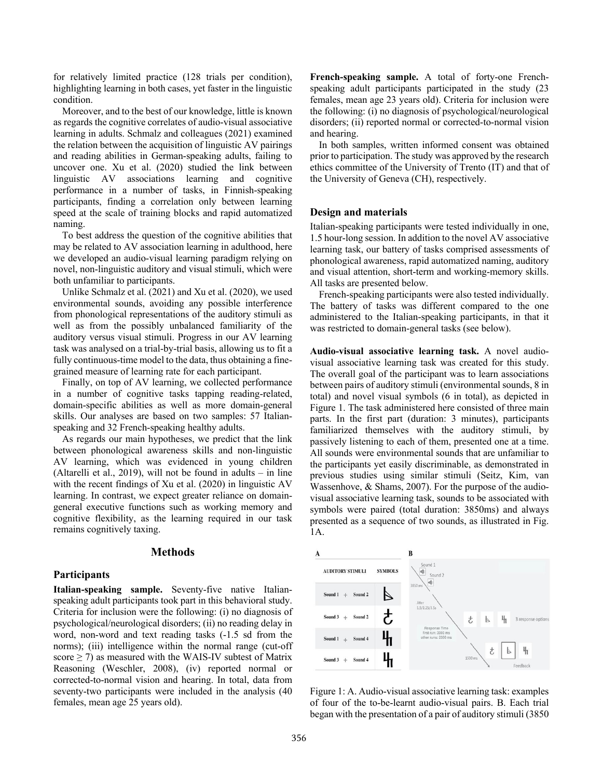for relatively limited practice (128 trials per condition), highlighting learning in both cases, yet faster in the linguistic condition.

Moreover, and to the best of our knowledge, little is known as regards the cognitive correlates of audio-visual associative learning in adults. Schmalz and colleagues (2021) examined the relation between the acquisition of linguistic AV pairings and reading abilities in German-speaking adults, failing to uncover one. Xu et al. (2020) studied the link between linguistic AV associations learning and cognitive performance in a number of tasks, in Finnish-speaking participants, finding a correlation only between learning speed at the scale of training blocks and rapid automatized naming.

To best address the question of the cognitive abilities that may be related to AV association learning in adulthood, here we developed an audio-visual learning paradigm relying on novel, non-linguistic auditory and visual stimuli, which were both unfamiliar to participants.

Unlike Schmalz et al. (2021) and Xu et al. (2020), we used environmental sounds, avoiding any possible interference from phonological representations of the auditory stimuli as well as from the possibly unbalanced familiarity of the auditory versus visual stimuli. Progress in our AV learning task was analysed on a trial-by-trial basis, allowing us to fit a fully continuous-time model to the data, thus obtaining a finegrained measure of learning rate for each participant.

Finally, on top of AV learning, we collected performance in a number of cognitive tasks tapping reading-related, domain-specific abilities as well as more domain-general skills. Our analyses are based on two samples: 57 Italianspeaking and 32 French-speaking healthy adults.

As regards our main hypotheses, we predict that the link between phonological awareness skills and non-linguistic AV learning, which was evidenced in young children (Altarelli et al., 2019), will not be found in adults – in line with the recent findings of Xu et al. (2020) in linguistic AV learning. In contrast, we expect greater reliance on domaingeneral executive functions such as working memory and cognitive flexibility, as the learning required in our task remains cognitively taxing.

#### **Methods**

#### **Participants**

**Italian-speaking sample.** Seventy-five native Italianspeaking adult participants took part in this behavioral study. Criteria for inclusion were the following: (i) no diagnosis of psychological/neurological disorders; (ii) no reading delay in word, non-word and text reading tasks (-1.5 sd from the norms); (iii) intelligence within the normal range (cut-off score  $\geq$  7) as measured with the WAIS-IV subtest of Matrix Reasoning (Weschler, 2008), (iv) reported normal or corrected-to-normal vision and hearing. In total, data from seventy-two participants were included in the analysis (40 females, mean age 25 years old).

**French-speaking sample.** A total of forty-one Frenchspeaking adult participants participated in the study (23 females, mean age 23 years old). Criteria for inclusion were the following: (i) no diagnosis of psychological/neurological disorders; (ii) reported normal or corrected-to-normal vision and hearing.

In both samples, written informed consent was obtained prior to participation. The study was approved by the research ethics committee of the University of Trento (IT) and that of the University of Geneva (CH), respectively.

#### **Design and materials**

Italian-speaking participants were tested individually in one, 1.5 hour-long session. In addition to the novel AV associative learning task, our battery of tasks comprised assessments of phonological awareness, rapid automatized naming, auditory and visual attention, short-term and working-memory skills. All tasks are presented below.

French-speaking participants were also tested individually. The battery of tasks was different compared to the one administered to the Italian-speaking participants, in that it was restricted to domain-general tasks (see below).

**Audio-visual associative learning task.** A novel audiovisual associative learning task was created for this study. The overall goal of the participant was to learn associations between pairs of auditory stimuli (environmental sounds, 8 in total) and novel visual symbols (6 in total), as depicted in Figure 1. The task administered here consisted of three main parts. In the first part (duration: 3 minutes), participants familiarized themselves with the auditory stimuli, by passively listening to each of them, presented one at a time. All sounds were environmental sounds that are unfamiliar to the participants yet easily discriminable, as demonstrated in previous studies using similar stimuli (Seitz, Kim, van Wassenhove, & Shams, 2007). For the purpose of the audiovisual associative learning task, sounds to be associated with symbols were paired (total duration: 3850ms) and always presented as a sequence of two sounds, as illustrated in Fig. 1A.



Figure 1: A. Audio-visual associative learning task: examples of four of the to-be-learnt audio-visual pairs. B. Each trial began with the presentation of a pair of auditory stimuli (3850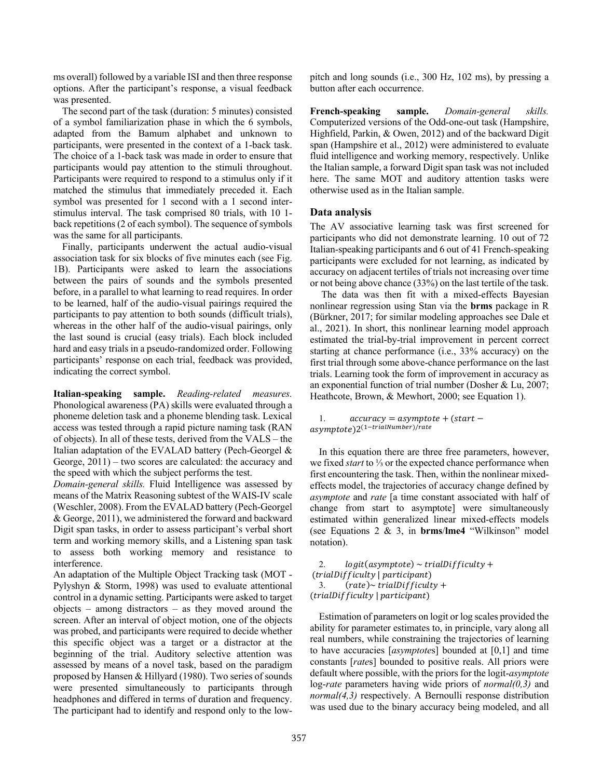ms overall) followed by a variable ISI and then three response options. After the participant's response, a visual feedback was presented.

The second part of the task (duration: 5 minutes) consisted of a symbol familiarization phase in which the 6 symbols, adapted from the Bamum alphabet and unknown to participants, were presented in the context of a 1-back task. The choice of a 1-back task was made in order to ensure that participants would pay attention to the stimuli throughout. Participants were required to respond to a stimulus only if it matched the stimulus that immediately preceded it. Each symbol was presented for 1 second with a 1 second interstimulus interval. The task comprised 80 trials, with 10 1 back repetitions (2 of each symbol). The sequence of symbols was the same for all participants.

Finally, participants underwent the actual audio-visual association task for six blocks of five minutes each (see Fig. 1B). Participants were asked to learn the associations between the pairs of sounds and the symbols presented before, in a parallel to what learning to read requires. In order to be learned, half of the audio-visual pairings required the participants to pay attention to both sounds (difficult trials), whereas in the other half of the audio-visual pairings, only the last sound is crucial (easy trials). Each block included hard and easy trials in a pseudo-randomized order. Following participants' response on each trial, feedback was provided, indicating the correct symbol.

**Italian-speaking sample.** *Reading-related measures.* Phonological awareness (PA) skills were evaluated through a phoneme deletion task and a phoneme blending task. Lexical access was tested through a rapid picture naming task (RAN of objects). In all of these tests, derived from the VALS – the Italian adaptation of the EVALAD battery (Pech-Georgel & George, 2011) – two scores are calculated: the accuracy and the speed with which the subject performs the test.

*Domain-general skills.* Fluid Intelligence was assessed by means of the Matrix Reasoning subtest of the WAIS-IV scale (Weschler, 2008). From the EVALAD battery (Pech-Georgel & George, 2011), we administered the forward and backward Digit span tasks, in order to assess participant's verbal short term and working memory skills, and a Listening span task to assess both working memory and resistance to interference.

An adaptation of the Multiple Object Tracking task (MOT - Pylyshyn & Storm, 1998) was used to evaluate attentional control in a dynamic setting. Participants were asked to target objects – among distractors – as they moved around the screen. After an interval of object motion, one of the objects was probed, and participants were required to decide whether this specific object was a target or a distractor at the beginning of the trial. Auditory selective attention was assessed by means of a novel task, based on the paradigm proposed by Hansen & Hillyard (1980). Two series of sounds were presented simultaneously to participants through headphones and differed in terms of duration and frequency. The participant had to identify and respond only to the low-

pitch and long sounds (i.e., 300 Hz, 102 ms), by pressing a button after each occurrence.

**French-speaking sample.** *Domain-general skills.*  Computerized versions of the Odd-one-out task (Hampshire, Highfield, Parkin, & Owen, 2012) and of the backward Digit span (Hampshire et al., 2012) were administered to evaluate fluid intelligence and working memory, respectively. Unlike the Italian sample, a forward Digit span task was not included here. The same MOT and auditory attention tasks were otherwise used as in the Italian sample.

#### **Data analysis**

The AV associative learning task was first screened for participants who did not demonstrate learning. 10 out of 72 Italian-speaking participants and 6 out of 41 French-speaking participants were excluded for not learning, as indicated by accuracy on adjacent tertiles of trials not increasing over time or not being above chance (33%) on the last tertile of the task.

The data was then fit with a mixed-effects Bayesian nonlinear regression using Stan via the **brms** package in R (Bürkner, 2017; for similar modeling approaches see Dale et al., 2021). In short, this nonlinear learning model approach estimated the trial-by-trial improvement in percent correct starting at chance performance (i.e., 33% accuracy) on the first trial through some above-chance performance on the last trials. Learning took the form of improvement in accuracy as an exponential function of trial number (Dosher & Lu, 2007; Heathcote, Brown, & Mewhort, 2000; see Equation 1).

```
1. accuracy = asymptote + (start -asymptote)2<sup>(1-trialNumber)/rate</sup>
```
In this equation there are three free parameters, however, we fixed *start* to ⅓ or the expected chance performance when first encountering the task. Then, within the nonlinear mixedeffects model, the trajectories of accuracy change defined by *asymptote* and *rate* [a time constant associated with half of change from start to asymptote] were simultaneously estimated within generalized linear mixed-effects models (see Equations 2 & 3, in **brms**/**lme4** "Wilkinson" model notation).

2.  $logit(asymptote) \sim trialDifficulty +$  $(trialDifficulty | participant)$ 3.  $(rate) \sim trialDiffically +$ (trialDifficulty | participant)

Estimation of parameters on logit or log scales provided the ability for parameter estimates to, in principle, vary along all real numbers, while constraining the trajectories of learning to have accuracies [*asymptote*s] bounded at [0,1] and time constants [*rate*s] bounded to positive reals. All priors were default where possible, with the priors for the logit-*asymptote* log-*rate* parameters having wide priors of *normal(0,3)* and *normal(4,3)* respectively. A Bernoulli response distribution was used due to the binary accuracy being modeled, and all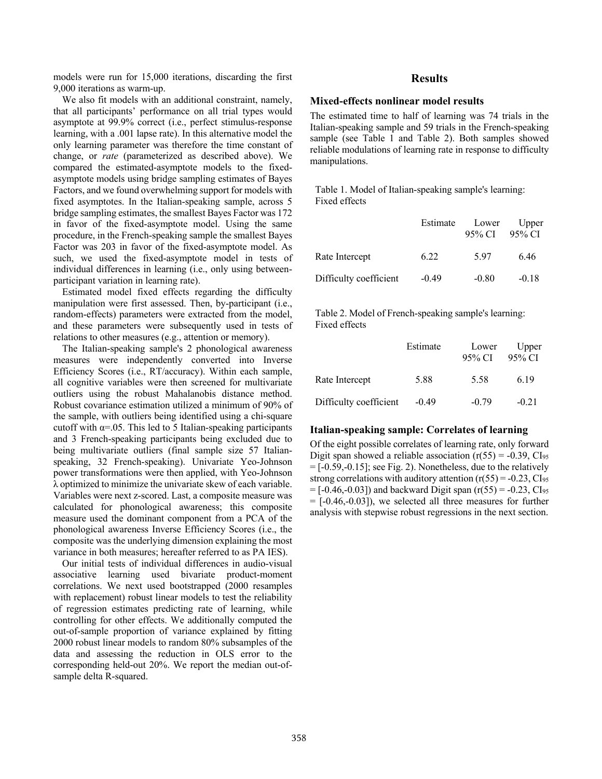models were run for 15,000 iterations, discarding the first 9,000 iterations as warm-up.

We also fit models with an additional constraint, namely, that all participants' performance on all trial types would asymptote at 99.9% correct (i.e., perfect stimulus-response learning, with a .001 lapse rate). In this alternative model the only learning parameter was therefore the time constant of change, or *rate* (parameterized as described above). We compared the estimated-asymptote models to the fixedasymptote models using bridge sampling estimates of Bayes Factors, and we found overwhelming support for models with fixed asymptotes. In the Italian-speaking sample, across 5 bridge sampling estimates, the smallest Bayes Factor was 172 in favor of the fixed-asymptote model. Using the same procedure, in the French-speaking sample the smallest Bayes Factor was 203 in favor of the fixed-asymptote model. As such, we used the fixed-asymptote model in tests of individual differences in learning (i.e., only using betweenparticipant variation in learning rate).

Estimated model fixed effects regarding the difficulty manipulation were first assessed. Then, by-participant (i.e., random-effects) parameters were extracted from the model, and these parameters were subsequently used in tests of relations to other measures (e.g., attention or memory).

The Italian-speaking sample's 2 phonological awareness measures were independently converted into Inverse Efficiency Scores (i.e., RT/accuracy). Within each sample, all cognitive variables were then screened for multivariate outliers using the robust Mahalanobis distance method. Robust covariance estimation utilized a minimum of 90% of the sample, with outliers being identified using a chi-square cutoff with  $\alpha = 0.05$ . This led to 5 Italian-speaking participants and 3 French-speaking participants being excluded due to being multivariate outliers (final sample size 57 Italianspeaking, 32 French-speaking). Univariate Yeo-Johnson power transformations were then applied, with Yeo-Johnson λ optimized to minimize the univariate skew of each variable. Variables were next z-scored. Last, a composite measure was calculated for phonological awareness; this composite measure used the dominant component from a PCA of the phonological awareness Inverse Efficiency Scores (i.e., the composite was the underlying dimension explaining the most variance in both measures; hereafter referred to as PA IES).

Our initial tests of individual differences in audio-visual associative learning used bivariate product-moment correlations. We next used bootstrapped (2000 resamples with replacement) robust linear models to test the reliability of regression estimates predicting rate of learning, while controlling for other effects. We additionally computed the out-of-sample proportion of variance explained by fitting 2000 robust linear models to random 80% subsamples of the data and assessing the reduction in OLS error to the corresponding held-out 20%. We report the median out-ofsample delta R-squared.

### **Results**

#### **Mixed-effects nonlinear model results**

The estimated time to half of learning was 74 trials in the Italian-speaking sample and 59 trials in the French-speaking sample (see Table 1 and Table 2). Both samples showed reliable modulations of learning rate in response to difficulty manipulations.

Table 1. Model of Italian-speaking sample's learning: Fixed effects

|                        | Estimate | Lower<br>95% CI | $U$ pper<br>- 95% CI |
|------------------------|----------|-----------------|----------------------|
| Rate Intercept         | 6.22     | 5.97            | 6.46                 |
| Difficulty coefficient | $-0.49$  | $-0.80$         | $-0.18$              |

Table 2. Model of French-speaking sample's learning: Fixed effects

|                        | Estimate | Lower<br>95% CI | Upper<br>- 95% CI |
|------------------------|----------|-----------------|-------------------|
| Rate Intercept         | 5.88     | 5.58            | 6.19              |
| Difficulty coefficient | $-0.49$  | $-0.79$         | $-0.21$           |

#### **Italian-speaking sample: Correlates of learning**

Of the eight possible correlates of learning rate, only forward Digit span showed a reliable association  $(r(55) = -0.39, Cl<sub>95</sub>)$  $=[-0.59,-0.15]$ ; see Fig. 2). Nonetheless, due to the relatively strong correlations with auditory attention  $(r(55) = -0.23, C1<sub>95</sub>)$  $=[-0.46,-0.03]$  and backward Digit span (r(55) = -0.23, CI<sub>95</sub>  $= [-0.46, -0.03]$ , we selected all three measures for further analysis with stepwise robust regressions in the next section.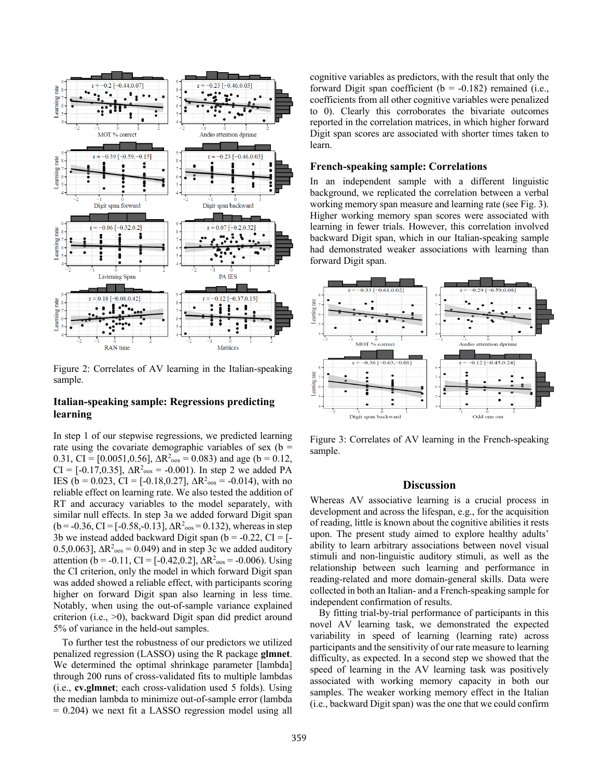

Figure 2: Correlates of AV learning in the Italian-speaking sample.

## **Italian-speaking sample: Regressions predicting learning**

In step 1 of our stepwise regressions, we predicted learning rate using the covariate demographic variables of sex ( $b =$ 0.31, CI = [0.0051,0.56],  $\Delta R^2$ <sub>oos</sub> = 0.083) and age (b = 0.12,  $CI = [-0.17, 0.35], \Delta R^2_{\text{oos}} = -0.001$ . In step 2 we added PA IES ( $b = 0.023$ , CI = [-0.18,0.27],  $\Delta R^2_{\text{cos}} = -0.014$ ), with no reliable effect on learning rate. We also tested the addition of RT and accuracy variables to the model separately, with similar null effects. In step 3a we added forward Digit span  $(b = -0.36, CI = [-0.58, -0.13], \Delta R^2_{\text{cos}} = 0.132)$ , whereas in step 3b we instead added backward Digit span ( $b = -0.22$ , CI = [-0.5,0.063],  $\Delta R^2$ <sub>oos</sub> = 0.049) and in step 3c we added auditory attention (b = -0.11, CI = [-0.42,0.2],  $\Delta R^2_{\text{cos}}$  = -0.006). Using the CI criterion, only the model in which forward Digit span was added showed a reliable effect, with participants scoring higher on forward Digit span also learning in less time. Notably, when using the out-of-sample variance explained criterion (i.e., >0), backward Digit span did predict around 5% of variance in the held-out samples.

To further test the robustness of our predictors we utilized penalized regression (LASSO) using the R package **glmnet**. We determined the optimal shrinkage parameter [lambda] through 200 runs of cross-validated fits to multiple lambdas (i.e., **cv.glmnet**; each cross-validation used 5 folds). Using the median lambda to minimize out-of-sample error (lambda  $= 0.204$ ) we next fit a LASSO regression model using all

cognitive variables as predictors, with the result that only the forward Digit span coefficient ( $b = -0.182$ ) remained (i.e., coefficients from all other cognitive variables were penalized to 0). Clearly this corroborates the bivariate outcomes reported in the correlation matrices, in which higher forward Digit span scores are associated with shorter times taken to learn.

### **French-speaking sample: Correlations**

In an independent sample with a different linguistic background, we replicated the correlation between a verbal working memory span measure and learning rate (see Fig. 3). Higher working memory span scores were associated with learning in fewer trials. However, this correlation involved backward Digit span, which in our Italian-speaking sample had demonstrated weaker associations with learning than forward Digit span.



Figure 3: Correlates of AV learning in the French-speaking sample.

### **Discussion**

Whereas AV associative learning is a crucial process in development and across the lifespan, e.g., for the acquisition of reading, little is known about the cognitive abilities it rests upon. The present study aimed to explore healthy adults' ability to learn arbitrary associations between novel visual stimuli and non-linguistic auditory stimuli, as well as the relationship between such learning and performance in reading-related and more domain-general skills. Data were collected in both an Italian- and a French-speaking sample for independent confirmation of results.

By fitting trial-by-trial performance of participants in this novel AV learning task, we demonstrated the expected variability in speed of learning (learning rate) across participants and the sensitivity of our rate measure to learning difficulty, as expected. In a second step we showed that the speed of learning in the AV learning task was positively associated with working memory capacity in both our samples. The weaker working memory effect in the Italian (i.e., backward Digit span) was the one that we could confirm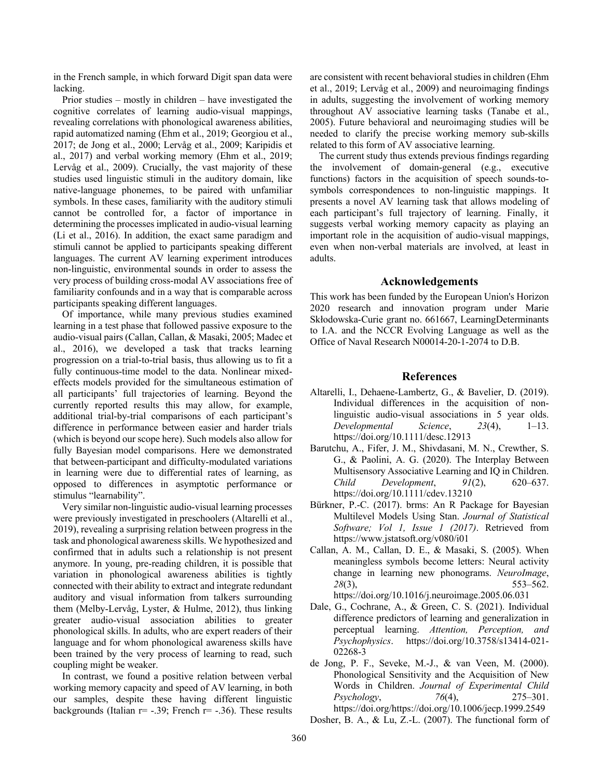in the French sample, in which forward Digit span data were lacking.

Prior studies – mostly in children – have investigated the cognitive correlates of learning audio-visual mappings, revealing correlations with phonological awareness abilities, rapid automatized naming (Ehm et al., 2019; Georgiou et al., 2017; de Jong et al., 2000; Lervåg et al., 2009; Karipidis et al., 2017) and verbal working memory (Ehm et al., 2019; Lervåg et al., 2009). Crucially, the vast majority of these studies used linguistic stimuli in the auditory domain, like native-language phonemes, to be paired with unfamiliar symbols. In these cases, familiarity with the auditory stimuli cannot be controlled for, a factor of importance in determining the processes implicated in audio-visual learning (Li et al., 2016). In addition, the exact same paradigm and stimuli cannot be applied to participants speaking different languages. The current AV learning experiment introduces non-linguistic, environmental sounds in order to assess the very process of building cross-modal AV associations free of familiarity confounds and in a way that is comparable across participants speaking different languages.

Of importance, while many previous studies examined learning in a test phase that followed passive exposure to the audio-visual pairs (Callan, Callan, & Masaki, 2005; Madec et al., 2016), we developed a task that tracks learning progression on a trial-to-trial basis, thus allowing us to fit a fully continuous-time model to the data. Nonlinear mixedeffects models provided for the simultaneous estimation of all participants' full trajectories of learning. Beyond the currently reported results this may allow, for example, additional trial-by-trial comparisons of each participant's difference in performance between easier and harder trials (which is beyond our scope here). Such models also allow for fully Bayesian model comparisons. Here we demonstrated that between-participant and difficulty-modulated variations in learning were due to differential rates of learning, as opposed to differences in asymptotic performance or stimulus "learnability".

Very similar non-linguistic audio-visual learning processes were previously investigated in preschoolers (Altarelli et al., 2019), revealing a surprising relation between progress in the task and phonological awareness skills. We hypothesized and confirmed that in adults such a relationship is not present anymore. In young, pre-reading children, it is possible that variation in phonological awareness abilities is tightly connected with their ability to extract and integrate redundant auditory and visual information from talkers surrounding them (Melby-Lervåg, Lyster, & Hulme, 2012), thus linking greater audio-visual association abilities to greater phonological skills. In adults, who are expert readers of their language and for whom phonological awareness skills have been trained by the very process of learning to read, such coupling might be weaker.

In contrast, we found a positive relation between verbal working memory capacity and speed of AV learning, in both our samples, despite these having different linguistic backgrounds (Italian  $r= -.39$ ; French  $r= -.36$ ). These results

are consistent with recent behavioral studies in children (Ehm et al., 2019; Lervåg et al., 2009) and neuroimaging findings in adults, suggesting the involvement of working memory throughout AV associative learning tasks (Tanabe et al., 2005). Future behavioral and neuroimaging studies will be needed to clarify the precise working memory sub-skills related to this form of AV associative learning.

The current study thus extends previous findings regarding the involvement of domain-general (e.g., executive functions) factors in the acquisition of speech sounds-tosymbols correspondences to non-linguistic mappings. It presents a novel AV learning task that allows modeling of each participant's full trajectory of learning. Finally, it suggests verbal working memory capacity as playing an important role in the acquisition of audio-visual mappings, even when non-verbal materials are involved, at least in adults.

### **Acknowledgements**

This work has been funded by the European Union's Horizon 2020 research and innovation program under Marie Skłodowska‐Curie grant no. 661667, LearningDeterminants to I.A. and the NCCR Evolving Language as well as the Office of Naval Research N00014-20-1-2074 to D.B.

#### **References**

- Altarelli, I., Dehaene-Lambertz, G., & Bavelier, D. (2019). Individual differences in the acquisition of nonlinguistic audio-visual associations in 5 year olds. *Developmental Science*, *23*(4), 1–13. https://doi.org/10.1111/desc.12913
- Barutchu, A., Fifer, J. M., Shivdasani, M. N., Crewther, S. G., & Paolini, A. G. (2020). The Interplay Between Multisensory Associative Learning and IQ in Children. *Child Development*, *91*(2), 620–637. https://doi.org/10.1111/cdev.13210
- Bürkner, P.-C. (2017). brms: An R Package for Bayesian Multilevel Models Using Stan. *Journal of Statistical Software; Vol 1, Issue 1 (2017)*. Retrieved from https://www.jstatsoft.org/v080/i01
- Callan, A. M., Callan, D. E., & Masaki, S. (2005). When meaningless symbols become letters: Neural activity change in learning new phonograms. *NeuroImage*, *28*(3), 553–562. https://doi.org/10.1016/j.neuroimage.2005.06.031
- Dale, G., Cochrane, A., & Green, C. S. (2021). Individual difference predictors of learning and generalization in perceptual learning. *Attention, Perception, and Psychophysics*. https://doi.org/10.3758/s13414-021- 02268-3
- de Jong, P. F., Seveke, M.-J., & van Veen, M. (2000). Phonological Sensitivity and the Acquisition of New Words in Children. *Journal of Experimental Child Psychology*, *76*(4), 275–301. https://doi.org/https://doi.org/10.1006/jecp.1999.2549

Dosher, B. A., & Lu, Z.-L. (2007). The functional form of